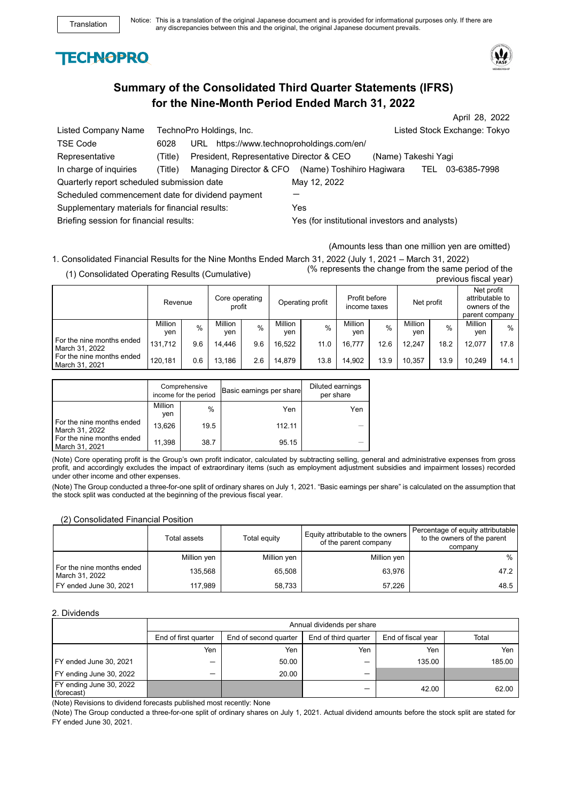# **TECHNOPRO**



# **Summary of the Consolidated Third Quarter Statements (IFRS) for the Nine-Month Period Ended March 31, 2022**

|                                                  |         |                                          |                                                |                     |            | April 28, 2022               |
|--------------------------------------------------|---------|------------------------------------------|------------------------------------------------|---------------------|------------|------------------------------|
| Listed Company Name                              |         | TechnoPro Holdings, Inc.                 |                                                |                     |            | Listed Stock Exchange: Tokyo |
| <b>TSE Code</b>                                  | 6028    | URL                                      | https://www.technoproholdings.com/en/          |                     |            |                              |
| Representative                                   | (Title) | President, Representative Director & CEO |                                                | (Name) Takeshi Yagi |            |                              |
| In charge of inquiries                           | (Title) | Managing Director & CFO                  | (Name) Toshihiro Hagiwara                      |                     | <b>TEL</b> | 03-6385-7998                 |
| Quarterly report scheduled submission date       |         |                                          | May 12, 2022                                   |                     |            |                              |
| Scheduled commencement date for dividend payment |         |                                          |                                                |                     |            |                              |
| Supplementary materials for financial results:   |         |                                          | Yes                                            |                     |            |                              |
| Briefing session for financial results:          |         |                                          | Yes (for institutional investors and analysts) |                     |            |                              |

(Amounts less than one million yen are omitted)

1. Consolidated Financial Results for the Nine Months Ended March 31, 2022 (July 1, 2021 – March 31, 2022) (1) Consolidated Operating Results (Cumulative)

|                                               |                       |      |                          |               |                       |      |                               |      |                       |      |                                                                  | ---- 1 |
|-----------------------------------------------|-----------------------|------|--------------------------|---------------|-----------------------|------|-------------------------------|------|-----------------------|------|------------------------------------------------------------------|--------|
|                                               | Revenue               |      | Core operating<br>profit |               | Operating profit      |      | Profit before<br>income taxes |      | Net profit            |      | Net profit<br>attributable to<br>owners of the<br>parent company |        |
|                                               | <b>Million</b><br>yen | $\%$ | Million<br>ven           | $\frac{0}{0}$ | <b>Million</b><br>ven | $\%$ | Million<br>ven                | $\%$ | <b>Million</b><br>yen | $\%$ | <b>Million</b><br>ven                                            | $\%$   |
| I For the nine months ended<br>March 31, 2022 | 131.712               | 9.6  | 14.446                   | 9.6           | 16.522                | 11.0 | 16.777                        | 12.6 | 12.247                | 18.2 | 12.077                                                           | 17.8   |
| I For the nine months ended<br>March 31, 2021 | 120.181               | 0.6  | 13.186                   | 2.6           | 14,879                | 13.8 | 14.902                        | 13.9 | 10.357                | 13.9 | 10.249                                                           | 14.1   |

|                                             | Comprehensive<br>income for the period |      | Basic earnings per share | Diluted earnings<br>per share |
|---------------------------------------------|----------------------------------------|------|--------------------------|-------------------------------|
|                                             | Million<br>ven                         | $\%$ | Yen                      | Yen                           |
| For the nine months ended<br>March 31, 2022 | 13.626                                 | 19.5 | 112.11                   |                               |
| For the nine months ended<br>March 31, 2021 | 11,398                                 | 38.7 | 95.15                    |                               |

(Note) Core operating profit is the Group's own profit indicator, calculated by subtracting selling, general and administrative expenses from gross profit, and accordingly excludes the impact of extraordinary items (such as employment adjustment subsidies and impairment losses) recorded under other income and other expenses.

(Note) The Group conducted a three-for-one split of ordinary shares on July 1, 2021. "Basic earnings per share" is calculated on the assumption that the stock split was conducted at the beginning of the previous fiscal year.

## (2) Consolidated Financial Position

|                                             | Total assets | Total equity | Equity attributable to the owners<br>of the parent company | Percentage of equity attributable<br>to the owners of the parent<br>company |
|---------------------------------------------|--------------|--------------|------------------------------------------------------------|-----------------------------------------------------------------------------|
|                                             | Million yen  | Million yen  | Million yen                                                | %                                                                           |
| For the nine months ended<br>March 31, 2022 | 135.568      | 65.508       | 63.976                                                     | 47.2                                                                        |
| FY ended June 30, 2021                      | 117,989      | 58,733       | 57.226                                                     | 48.5                                                                        |

#### 2. Dividends

|                                       | Annual dividends per share |                       |                      |                    |        |  |  |
|---------------------------------------|----------------------------|-----------------------|----------------------|--------------------|--------|--|--|
|                                       | End of first quarter       | End of second quarter | End of third quarter | End of fiscal year | Total  |  |  |
|                                       | Yen                        | Yen                   | Yen                  | Yen                | Yen    |  |  |
| FY ended June 30, 2021                | –                          | 50.00                 | $\qquad \qquad$      | 135.00             | 185.00 |  |  |
| FY ending June 30, 2022               |                            | 20.00                 | -                    |                    |        |  |  |
| FY ending June 30, 2022<br>(forecast) |                            |                       |                      | 42.00              | 62.00  |  |  |

(Note) Revisions to dividend forecasts published most recently: None

(Note) The Group conducted a three-for-one split of ordinary shares on July 1, 2021. Actual dividend amounts before the stock split are stated for FY ended June 30, 2021.

previous fiscal year)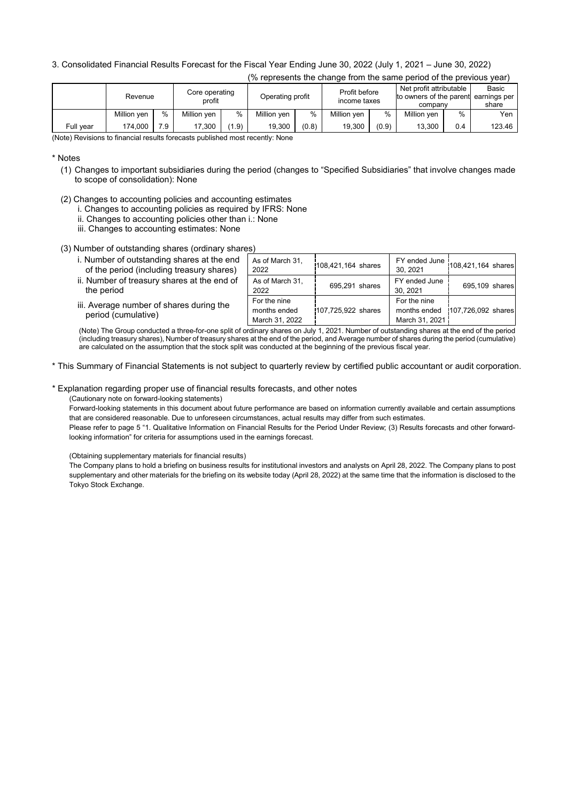# 3. Consolidated Financial Results Forecast for the Fiscal Year Ending June 30, 2022 (July 1, 2021 – June 30, 2022)

| (% represents the change from the same period of the previous year) |             |      |                          |                  |             |                               |             |       |                                                               |      |                                |
|---------------------------------------------------------------------|-------------|------|--------------------------|------------------|-------------|-------------------------------|-------------|-------|---------------------------------------------------------------|------|--------------------------------|
|                                                                     | Revenue     |      | Core operating<br>profit | Operating profit |             | Profit before<br>income taxes |             |       | Net profit attributable<br>to owners of the parent<br>company |      | Basic<br>earnings per<br>share |
|                                                                     | Million yen | $\%$ | Million yen              | $\%$             | Million yen | $\frac{0}{0}$                 | Million yen | %     | Million yen                                                   | $\%$ | Yen                            |
| Full year                                                           | 174.000     | 7.9  | 17.300                   | (1.9)            | 19.300      | (0.8)                         | 19.300      | (0.9) | 13.300                                                        | 0.4  | 123.46                         |

(Note) Revisions to financial results forecasts published most recently: None

\* Notes

- (1) Changes to important subsidiaries during the period (changes to "Specified Subsidiaries" that involve changes made to scope of consolidation): None
- (2) Changes to accounting policies and accounting estimates
	- i. Changes to accounting policies as required by IFRS: None
	- ii. Changes to accounting policies other than i.: None
	- iii. Changes to accounting estimates: None

(3) Number of outstanding shares (ordinary shares)

| i. Number of outstanding shares at the end<br>As of March 31.<br>$\overline{1}$ FY ended June $ 108,421,164$ shares<br>108,421,164 shares<br>of the period (including treasury shares)<br>30.2021<br>2022      |  |  |                |
|----------------------------------------------------------------------------------------------------------------------------------------------------------------------------------------------------------------|--|--|----------------|
|                                                                                                                                                                                                                |  |  |                |
| ii. Number of treasury shares at the end of<br>As of March 31,<br>FY ended June<br>695,291 shares<br>the period<br>30.2021<br>2022                                                                             |  |  | 695,109 shares |
| For the nine<br>For the nine<br>iii. Average number of shares during the<br>107,725,922 shares<br>months ended   107,726,092 shares<br>months ended<br>period (cumulative)<br>March 31, 2022<br>March 31, 2021 |  |  |                |

(Note) The Group conducted a three-for-one split of ordinary shares on July 1, 2021. Number of outstanding shares at the end of the period (including treasury shares), Number of treasury shares at the end of the period, and Average number of shares during the period (cumulative) are calculated on the assumption that the stock split was conducted at the beginning of the previous fiscal year.

\* This Summary of Financial Statements is not subject to quarterly review by certified public accountant or audit corporation.

# \* Explanation regarding proper use of financial results forecasts, and other notes

(Cautionary note on forward-looking statements)

Forward-looking statements in this document about future performance are based on information currently available and certain assumptions that are considered reasonable. Due to unforeseen circumstances, actual results may differ from such estimates.

Please refer to page 5 "1. Qualitative Information on Financial Results for the Period Under Review; (3) Results forecasts and other forwardlooking information" for criteria for assumptions used in the earnings forecast.

(Obtaining supplementary materials for financial results)

The Company plans to hold a briefing on business results for institutional investors and analysts on April 28, 2022. The Company plans to post supplementary and other materials for the briefing on its website today (April 28, 2022) at the same time that the information is disclosed to the Tokyo Stock Exchange.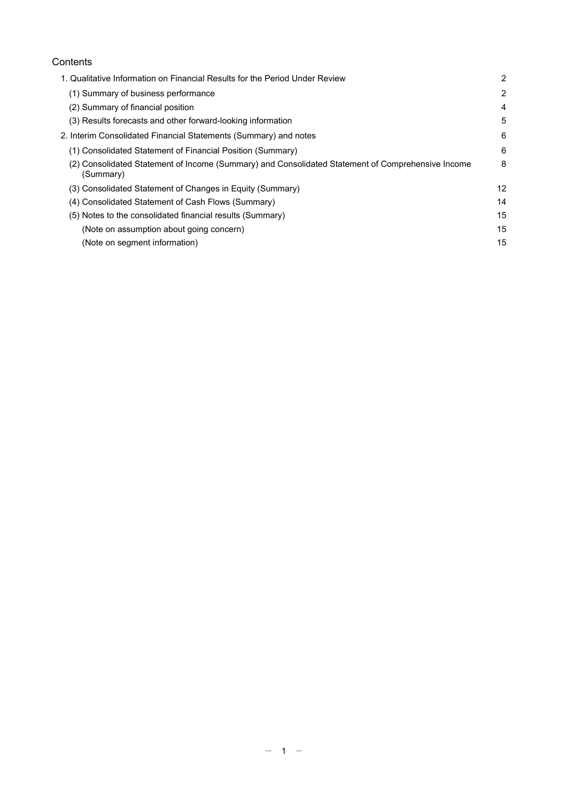# **Contents**

| 1. Qualitative Information on Financial Results for the Period Under Review                                    | $\overline{2}$ |
|----------------------------------------------------------------------------------------------------------------|----------------|
| (1) Summary of business performance                                                                            | 2              |
| (2) Summary of financial position                                                                              | 4              |
| (3) Results forecasts and other forward-looking information                                                    | 5              |
| 2. Interim Consolidated Financial Statements (Summary) and notes                                               | 6              |
| (1) Consolidated Statement of Financial Position (Summary)                                                     | 6              |
| (2) Consolidated Statement of Income (Summary) and Consolidated Statement of Comprehensive Income<br>(Summary) | 8              |
| (3) Consolidated Statement of Changes in Equity (Summary)                                                      | 12             |
| (4) Consolidated Statement of Cash Flows (Summary)                                                             | 14             |
| (5) Notes to the consolidated financial results (Summary)                                                      | 15             |
| (Note on assumption about going concern)                                                                       | 15             |
| (Note on segment information)                                                                                  | 15             |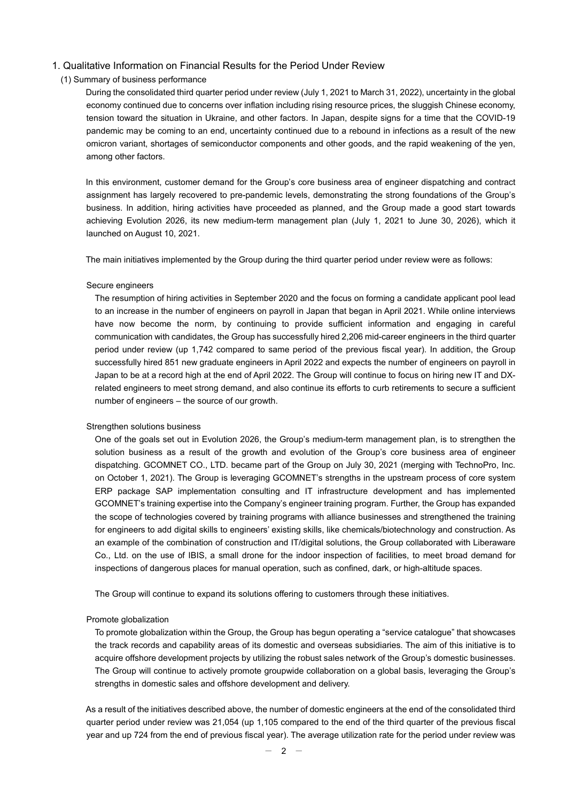### 1. Qualitative Information on Financial Results for the Period Under Review

#### (1) Summary of business performance

During the consolidated third quarter period under review (July 1, 2021 to March 31, 2022), uncertainty in the global economy continued due to concerns over inflation including rising resource prices, the sluggish Chinese economy, tension toward the situation in Ukraine, and other factors. In Japan, despite signs for a time that the COVID-19 pandemic may be coming to an end, uncertainty continued due to a rebound in infections as a result of the new omicron variant, shortages of semiconductor components and other goods, and the rapid weakening of the yen, among other factors.

In this environment, customer demand for the Group's core business area of engineer dispatching and contract assignment has largely recovered to pre-pandemic levels, demonstrating the strong foundations of the Group's business. In addition, hiring activities have proceeded as planned, and the Group made a good start towards achieving Evolution 2026, its new medium-term management plan (July 1, 2021 to June 30, 2026), which it launched on August 10, 2021.

The main initiatives implemented by the Group during the third quarter period under review were as follows:

#### Secure engineers

The resumption of hiring activities in September 2020 and the focus on forming a candidate applicant pool lead to an increase in the number of engineers on payroll in Japan that began in April 2021. While online interviews have now become the norm, by continuing to provide sufficient information and engaging in careful communication with candidates, the Group has successfully hired 2,206 mid-career engineers in the third quarter period under review (up 1,742 compared to same period of the previous fiscal year). In addition, the Group successfully hired 851 new graduate engineers in April 2022 and expects the number of engineers on payroll in Japan to be at a record high at the end of April 2022. The Group will continue to focus on hiring new IT and DXrelated engineers to meet strong demand, and also continue its efforts to curb retirements to secure a sufficient number of engineers – the source of our growth.

#### Strengthen solutions business

One of the goals set out in Evolution 2026, the Group's medium-term management plan, is to strengthen the solution business as a result of the growth and evolution of the Group's core business area of engineer dispatching. GCOMNET CO., LTD. became part of the Group on July 30, 2021 (merging with TechnoPro, Inc. on October 1, 2021). The Group is leveraging GCOMNET's strengths in the upstream process of core system ERP package SAP implementation consulting and IT infrastructure development and has implemented GCOMNET's training expertise into the Company's engineer training program. Further, the Group has expanded the scope of technologies covered by training programs with alliance businesses and strengthened the training for engineers to add digital skills to engineers' existing skills, like chemicals/biotechnology and construction. As an example of the combination of construction and IT/digital solutions, the Group collaborated with Liberaware Co., Ltd. on the use of IBIS, a small drone for the indoor inspection of facilities, to meet broad demand for inspections of dangerous places for manual operation, such as confined, dark, or high-altitude spaces.

The Group will continue to expand its solutions offering to customers through these initiatives.

#### Promote globalization

To promote globalization within the Group, the Group has begun operating a "service catalogue" that showcases the track records and capability areas of its domestic and overseas subsidiaries. The aim of this initiative is to acquire offshore development projects by utilizing the robust sales network of the Group's domestic businesses. The Group will continue to actively promote groupwide collaboration on a global basis, leveraging the Group's strengths in domestic sales and offshore development and delivery.

As a result of the initiatives described above, the number of domestic engineers at the end of the consolidated third quarter period under review was 21,054 (up 1,105 compared to the end of the third quarter of the previous fiscal year and up 724 from the end of previous fiscal year). The average utilization rate for the period under review was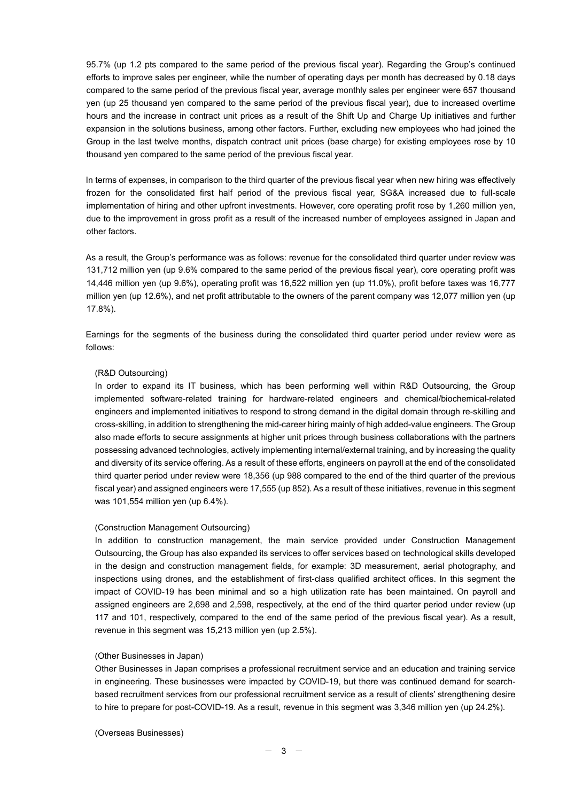95.7% (up 1.2 pts compared to the same period of the previous fiscal year). Regarding the Group's continued efforts to improve sales per engineer, while the number of operating days per month has decreased by 0.18 days compared to the same period of the previous fiscal year, average monthly sales per engineer were 657 thousand yen (up 25 thousand yen compared to the same period of the previous fiscal year), due to increased overtime hours and the increase in contract unit prices as a result of the Shift Up and Charge Up initiatives and further expansion in the solutions business, among other factors. Further, excluding new employees who had joined the Group in the last twelve months, dispatch contract unit prices (base charge) for existing employees rose by 10 thousand yen compared to the same period of the previous fiscal year.

In terms of expenses, in comparison to the third quarter of the previous fiscal year when new hiring was effectively frozen for the consolidated first half period of the previous fiscal year, SG&A increased due to full-scale implementation of hiring and other upfront investments. However, core operating profit rose by 1,260 million yen, due to the improvement in gross profit as a result of the increased number of employees assigned in Japan and other factors.

As a result, the Group's performance was as follows: revenue for the consolidated third quarter under review was 131,712 million yen (up 9.6% compared to the same period of the previous fiscal year), core operating profit was 14,446 million yen (up 9.6%), operating profit was 16,522 million yen (up 11.0%), profit before taxes was 16,777 million yen (up 12.6%), and net profit attributable to the owners of the parent company was 12,077 million yen (up 17.8%).

Earnings for the segments of the business during the consolidated third quarter period under review were as follows:

### (R&D Outsourcing)

In order to expand its IT business, which has been performing well within R&D Outsourcing, the Group implemented software-related training for hardware-related engineers and chemical/biochemical-related engineers and implemented initiatives to respond to strong demand in the digital domain through re-skilling and cross-skilling, in addition to strengthening the mid-career hiring mainly of high added-value engineers. The Group also made efforts to secure assignments at higher unit prices through business collaborations with the partners possessing advanced technologies, actively implementing internal/external training, and by increasing the quality and diversity of its service offering. As a result of these efforts, engineers on payroll at the end of the consolidated third quarter period under review were 18,356 (up 988 compared to the end of the third quarter of the previous fiscal year) and assigned engineers were 17,555 (up 852). As a result of these initiatives, revenue in this segment was 101,554 million yen (up 6.4%).

### (Construction Management Outsourcing)

In addition to construction management, the main service provided under Construction Management Outsourcing, the Group has also expanded its services to offer services based on technological skills developed in the design and construction management fields, for example: 3D measurement, aerial photography, and inspections using drones, and the establishment of first-class qualified architect offices. In this segment the impact of COVID-19 has been minimal and so a high utilization rate has been maintained. On payroll and assigned engineers are 2,698 and 2,598, respectively, at the end of the third quarter period under review (up 117 and 101, respectively, compared to the end of the same period of the previous fiscal year). As a result, revenue in this segment was 15,213 million yen (up 2.5%).

#### (Other Businesses in Japan)

Other Businesses in Japan comprises a professional recruitment service and an education and training service in engineering. These businesses were impacted by COVID-19, but there was continued demand for searchbased recruitment services from our professional recruitment service as a result of clients' strengthening desire to hire to prepare for post-COVID-19. As a result, revenue in this segment was 3,346 million yen (up 24.2%).

(Overseas Businesses)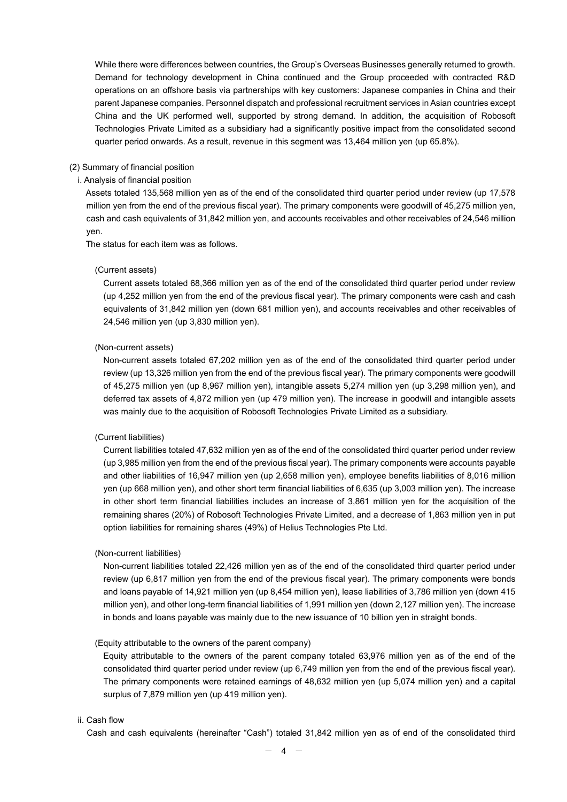While there were differences between countries, the Group's Overseas Businesses generally returned to growth. Demand for technology development in China continued and the Group proceeded with contracted R&D operations on an offshore basis via partnerships with key customers: Japanese companies in China and their parent Japanese companies. Personnel dispatch and professional recruitment services in Asian countries except China and the UK performed well, supported by strong demand. In addition, the acquisition of Robosoft Technologies Private Limited as a subsidiary had a significantly positive impact from the consolidated second quarter period onwards. As a result, revenue in this segment was 13,464 million yen (up 65.8%).

#### (2) Summary of financial position

## i. Analysis of financial position

Assets totaled 135,568 million yen as of the end of the consolidated third quarter period under review (up 17,578 million yen from the end of the previous fiscal year). The primary components were goodwill of 45,275 million yen, cash and cash equivalents of 31,842 million yen, and accounts receivables and other receivables of 24,546 million yen.

The status for each item was as follows.

#### (Current assets)

Current assets totaled 68,366 million yen as of the end of the consolidated third quarter period under review (up 4,252 million yen from the end of the previous fiscal year). The primary components were cash and cash equivalents of 31,842 million yen (down 681 million yen), and accounts receivables and other receivables of 24,546 million yen (up 3,830 million yen).

#### (Non-current assets)

Non-current assets totaled 67,202 million yen as of the end of the consolidated third quarter period under review (up 13,326 million yen from the end of the previous fiscal year). The primary components were goodwill of 45,275 million yen (up 8,967 million yen), intangible assets 5,274 million yen (up 3,298 million yen), and deferred tax assets of 4,872 million yen (up 479 million yen). The increase in goodwill and intangible assets was mainly due to the acquisition of Robosoft Technologies Private Limited as a subsidiary.

#### (Current liabilities)

Current liabilities totaled 47,632 million yen as of the end of the consolidated third quarter period under review (up 3,985 million yen from the end of the previous fiscal year). The primary components were accounts payable and other liabilities of 16,947 million yen (up 2,658 million yen), employee benefits liabilities of 8,016 million yen (up 668 million yen), and other short term financial liabilities of 6,635 (up 3,003 million yen). The increase in other short term financial liabilities includes an increase of 3,861 million yen for the acquisition of the remaining shares (20%) of Robosoft Technologies Private Limited, and a decrease of 1,863 million yen in put option liabilities for remaining shares (49%) of Helius Technologies Pte Ltd.

#### (Non-current liabilities)

Non-current liabilities totaled 22,426 million yen as of the end of the consolidated third quarter period under review (up 6,817 million yen from the end of the previous fiscal year). The primary components were bonds and loans payable of 14,921 million yen (up 8,454 million yen), lease liabilities of 3,786 million yen (down 415 million yen), and other long-term financial liabilities of 1,991 million yen (down 2,127 million yen). The increase in bonds and loans payable was mainly due to the new issuance of 10 billion yen in straight bonds.

#### (Equity attributable to the owners of the parent company)

Equity attributable to the owners of the parent company totaled 63,976 million yen as of the end of the consolidated third quarter period under review (up 6,749 million yen from the end of the previous fiscal year). The primary components were retained earnings of 48,632 million yen (up 5,074 million yen) and a capital surplus of 7,879 million yen (up 419 million yen).

### ii. Cash flow

Cash and cash equivalents (hereinafter "Cash") totaled 31,842 million yen as of end of the consolidated third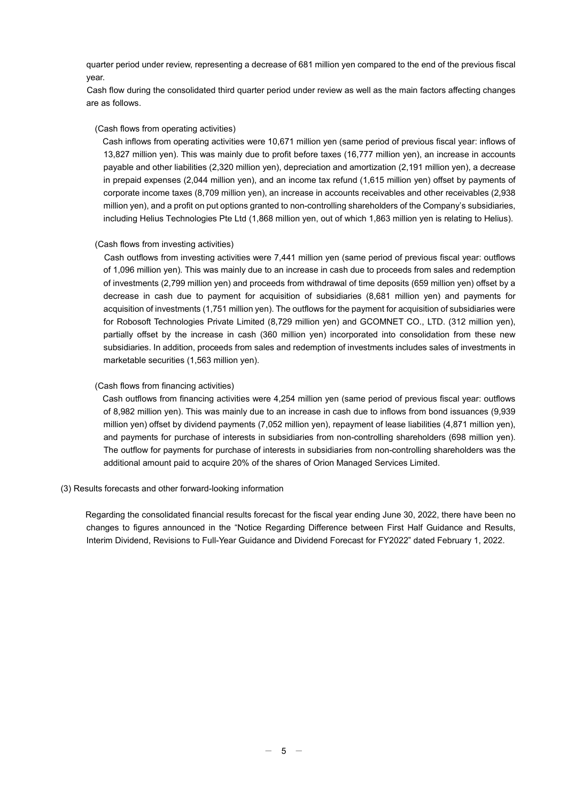quarter period under review, representing a decrease of 681 million yen compared to the end of the previous fiscal year.

Cash flow during the consolidated third quarter period under review as well as the main factors affecting changes are as follows.

### (Cash flows from operating activities)

Cash inflows from operating activities were 10,671 million yen (same period of previous fiscal year: inflows of 13,827 million yen). This was mainly due to profit before taxes (16,777 million yen), an increase in accounts payable and other liabilities (2,320 million yen), depreciation and amortization (2,191 million yen), a decrease in prepaid expenses (2,044 million yen), and an income tax refund (1,615 million yen) offset by payments of corporate income taxes (8,709 million yen), an increase in accounts receivables and other receivables (2,938 million yen), and a profit on put options granted to non-controlling shareholders of the Company's subsidiaries, including Helius Technologies Pte Ltd (1,868 million yen, out of which 1,863 million yen is relating to Helius).

### (Cash flows from investing activities)

Cash outflows from investing activities were 7,441 million yen (same period of previous fiscal year: outflows of 1,096 million yen). This was mainly due to an increase in cash due to proceeds from sales and redemption of investments (2,799 million yen) and proceeds from withdrawal of time deposits (659 million yen) offset by a decrease in cash due to payment for acquisition of subsidiaries (8,681 million yen) and payments for acquisition of investments (1,751 million yen). The outflows for the payment for acquisition of subsidiaries were for Robosoft Technologies Private Limited (8,729 million yen) and GCOMNET CO., LTD. (312 million yen), partially offset by the increase in cash (360 million yen) incorporated into consolidation from these new subsidiaries. In addition, proceeds from sales and redemption of investments includes sales of investments in marketable securities (1,563 million yen).

### (Cash flows from financing activities)

Cash outflows from financing activities were 4,254 million yen (same period of previous fiscal year: outflows of 8,982 million yen). This was mainly due to an increase in cash due to inflows from bond issuances (9,939 million yen) offset by dividend payments (7,052 million yen), repayment of lease liabilities (4,871 million yen), and payments for purchase of interests in subsidiaries from non-controlling shareholders (698 million yen). The outflow for payments for purchase of interests in subsidiaries from non-controlling shareholders was the additional amount paid to acquire 20% of the shares of Orion Managed Services Limited.

#### (3) Results forecasts and other forward-looking information

Regarding the consolidated financial results forecast for the fiscal year ending June 30, 2022, there have been no changes to figures announced in the "Notice Regarding Difference between First Half Guidance and Results, Interim Dividend, Revisions to Full-Year Guidance and Dividend Forecast for FY2022" dated February 1, 2022.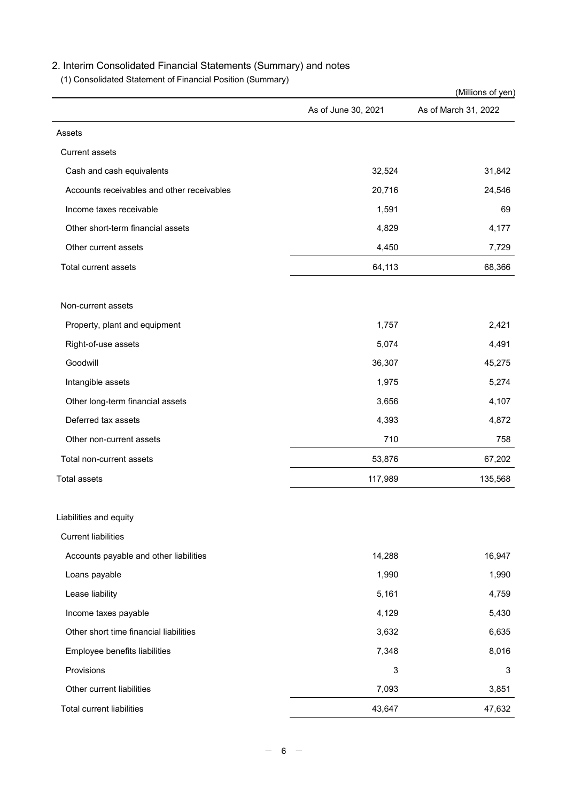# 2. Interim Consolidated Financial Statements (Summary) and notes

(1) Consolidated Statement of Financial Position (Summary)

|                                            |                     | (Millions of yen)    |
|--------------------------------------------|---------------------|----------------------|
|                                            | As of June 30, 2021 | As of March 31, 2022 |
| Assets                                     |                     |                      |
| <b>Current assets</b>                      |                     |                      |
| Cash and cash equivalents                  | 32,524              | 31,842               |
| Accounts receivables and other receivables | 20,716              | 24,546               |
| Income taxes receivable                    | 1,591               | 69                   |
| Other short-term financial assets          | 4,829               | 4,177                |
| Other current assets                       | 4,450               | 7,729                |
| Total current assets                       | 64,113              | 68,366               |
| Non-current assets                         |                     |                      |
| Property, plant and equipment              | 1,757               | 2,421                |
| Right-of-use assets                        | 5,074               | 4,491                |
| Goodwill                                   | 36,307              | 45,275               |
| Intangible assets                          | 1,975               | 5,274                |
| Other long-term financial assets           | 3,656               | 4,107                |
| Deferred tax assets                        | 4,393               | 4,872                |
| Other non-current assets                   | 710                 | 758                  |
| Total non-current assets                   | 53,876              | 67,202               |
| <b>Total assets</b>                        | 117,989             | 135,568              |
| Liabilities and equity                     |                     |                      |
| <b>Current liabilities</b>                 |                     |                      |
| Accounts payable and other liabilities     | 14,288              | 16,947               |
| Loans payable                              | 1,990               | 1,990                |
| Lease liability                            | 5,161               | 4,759                |
| Income taxes payable                       | 4,129               | 5,430                |
| Other short time financial liabilities     | 3,632               | 6,635                |
| Employee benefits liabilities              | 7,348               | 8,016                |
| Provisions                                 | $\mathsf 3$         | 3                    |
| Other current liabilities                  | 7,093               | 3,851                |
| <b>Total current liabilities</b>           | 43,647              | 47,632               |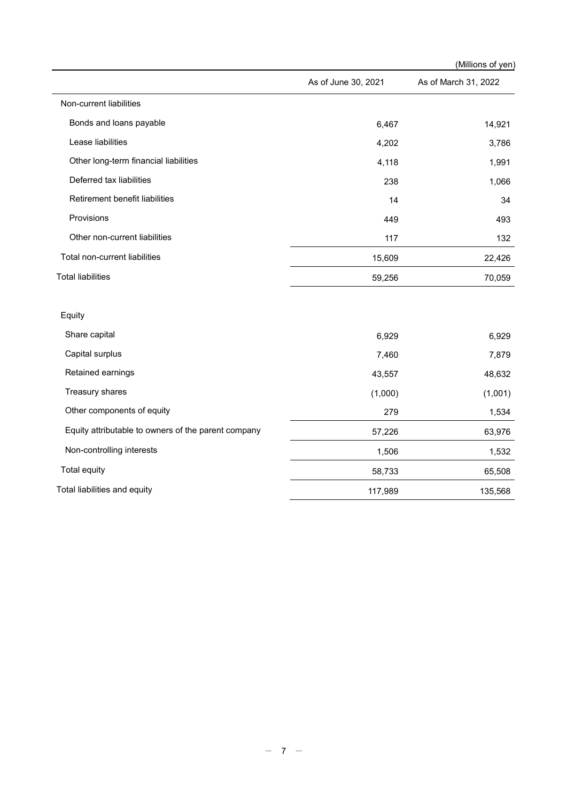|                                                     |                     | (Millions of yen)    |
|-----------------------------------------------------|---------------------|----------------------|
|                                                     | As of June 30, 2021 | As of March 31, 2022 |
| Non-current liabilities                             |                     |                      |
| Bonds and loans payable                             | 6,467               | 14,921               |
| Lease liabilities                                   | 4,202               | 3,786                |
| Other long-term financial liabilities               | 4,118               | 1,991                |
| Deferred tax liabilities                            | 238                 | 1,066                |
| Retirement benefit liabilities                      | 14                  | 34                   |
| Provisions                                          | 449                 | 493                  |
| Other non-current liabilities                       | 117                 | 132                  |
| Total non-current liabilities                       | 15,609              | 22,426               |
| <b>Total liabilities</b>                            | 59,256              | 70,059               |
| Equity                                              |                     |                      |
| Share capital                                       | 6,929               | 6,929                |
| Capital surplus                                     | 7,460               | 7,879                |
| Retained earnings                                   | 43,557              | 48,632               |
| Treasury shares                                     | (1,000)             | (1,001)              |
| Other components of equity                          | 279                 | 1,534                |
| Equity attributable to owners of the parent company | 57,226              | 63,976               |
| Non-controlling interests                           | 1,506               | 1,532                |
| Total equity                                        | 58,733              | 65,508               |
| Total liabilities and equity                        | 117,989             | 135,568              |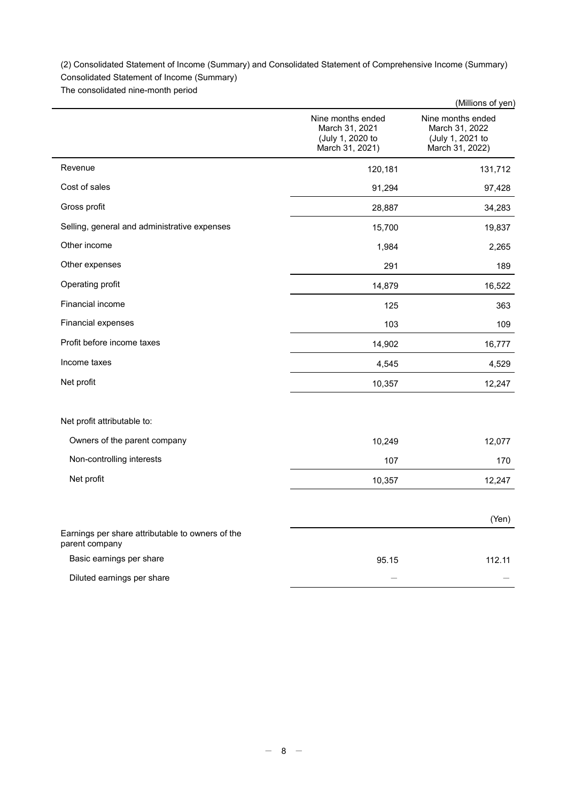(2) Consolidated Statement of Income (Summary) and Consolidated Statement of Comprehensive Income (Summary)

Consolidated Statement of Income (Summary)

The consolidated nine-month period

|                                                                    |                                                                            | (Millions of yen)                                                          |
|--------------------------------------------------------------------|----------------------------------------------------------------------------|----------------------------------------------------------------------------|
|                                                                    | Nine months ended<br>March 31, 2021<br>(July 1, 2020 to<br>March 31, 2021) | Nine months ended<br>March 31, 2022<br>(July 1, 2021 to<br>March 31, 2022) |
| Revenue                                                            | 120,181                                                                    | 131,712                                                                    |
| Cost of sales                                                      | 91,294                                                                     | 97,428                                                                     |
| Gross profit                                                       | 28,887                                                                     | 34,283                                                                     |
| Selling, general and administrative expenses                       | 15,700                                                                     | 19,837                                                                     |
| Other income                                                       | 1,984                                                                      | 2,265                                                                      |
| Other expenses                                                     | 291                                                                        | 189                                                                        |
| Operating profit                                                   | 14,879                                                                     | 16,522                                                                     |
| Financial income                                                   | 125                                                                        | 363                                                                        |
| Financial expenses                                                 | 103                                                                        | 109                                                                        |
| Profit before income taxes                                         | 14,902                                                                     | 16,777                                                                     |
| Income taxes                                                       | 4,545                                                                      | 4,529                                                                      |
| Net profit                                                         | 10,357                                                                     | 12,247                                                                     |
| Net profit attributable to:                                        |                                                                            |                                                                            |
| Owners of the parent company                                       | 10,249                                                                     | 12,077                                                                     |
| Non-controlling interests                                          | 107                                                                        | 170                                                                        |
| Net profit                                                         | 10,357                                                                     | 12,247                                                                     |
|                                                                    |                                                                            | (Yen)                                                                      |
| Earnings per share attributable to owners of the<br>parent company |                                                                            |                                                                            |
| Basic earnings per share                                           | 95.15                                                                      | 112.11                                                                     |
| Diluted earnings per share                                         |                                                                            |                                                                            |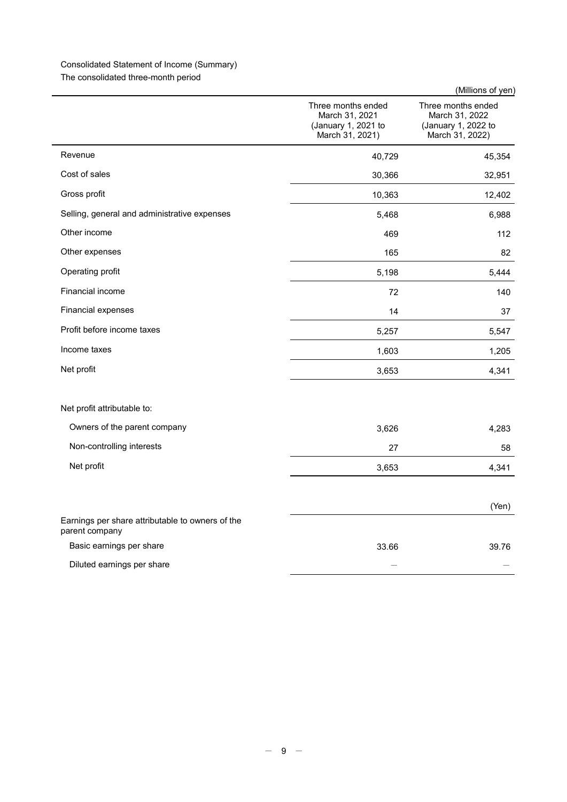# Consolidated Statement of Income (Summary)

The consolidated three-month period

|                                                                    |                                                                                | (Millions of yen)                                                              |
|--------------------------------------------------------------------|--------------------------------------------------------------------------------|--------------------------------------------------------------------------------|
|                                                                    | Three months ended<br>March 31, 2021<br>(January 1, 2021 to<br>March 31, 2021) | Three months ended<br>March 31, 2022<br>(January 1, 2022 to<br>March 31, 2022) |
| Revenue                                                            | 40,729                                                                         | 45,354                                                                         |
| Cost of sales                                                      | 30,366                                                                         | 32,951                                                                         |
| Gross profit                                                       | 10,363                                                                         | 12,402                                                                         |
| Selling, general and administrative expenses                       | 5,468                                                                          | 6,988                                                                          |
| Other income                                                       | 469                                                                            | 112                                                                            |
| Other expenses                                                     | 165                                                                            | 82                                                                             |
| Operating profit                                                   | 5,198                                                                          | 5,444                                                                          |
| Financial income                                                   | 72                                                                             | 140                                                                            |
| Financial expenses                                                 | 14                                                                             | 37                                                                             |
| Profit before income taxes                                         | 5,257                                                                          | 5,547                                                                          |
| Income taxes                                                       | 1,603                                                                          | 1,205                                                                          |
| Net profit                                                         | 3,653                                                                          | 4,341                                                                          |
| Net profit attributable to:                                        |                                                                                |                                                                                |
| Owners of the parent company                                       | 3,626                                                                          | 4,283                                                                          |
| Non-controlling interests                                          | 27                                                                             | 58                                                                             |
| Net profit                                                         | 3,653                                                                          | 4,341                                                                          |
|                                                                    |                                                                                | (Yen)                                                                          |
| Earnings per share attributable to owners of the<br>parent company |                                                                                |                                                                                |
| Basic earnings per share                                           | 33.66                                                                          | 39.76                                                                          |
| Diluted earnings per share                                         |                                                                                |                                                                                |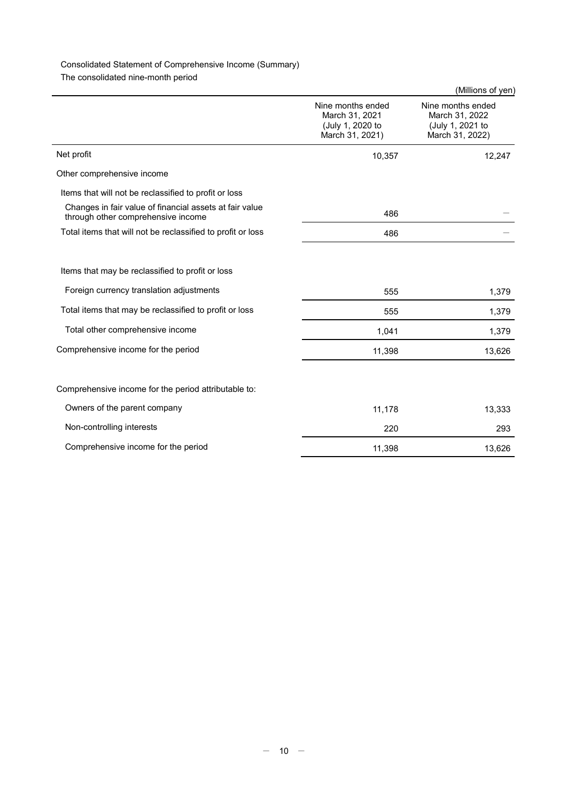# Consolidated Statement of Comprehensive Income (Summary)

The consolidated nine-month period

|                                                                                               |                                                                            | (Millions of yen)                                                          |
|-----------------------------------------------------------------------------------------------|----------------------------------------------------------------------------|----------------------------------------------------------------------------|
|                                                                                               | Nine months ended<br>March 31, 2021<br>(July 1, 2020 to<br>March 31, 2021) | Nine months ended<br>March 31, 2022<br>(July 1, 2021 to<br>March 31, 2022) |
| Net profit                                                                                    | 10,357                                                                     | 12,247                                                                     |
| Other comprehensive income                                                                    |                                                                            |                                                                            |
| Items that will not be reclassified to profit or loss                                         |                                                                            |                                                                            |
| Changes in fair value of financial assets at fair value<br>through other comprehensive income | 486                                                                        |                                                                            |
| Total items that will not be reclassified to profit or loss                                   | 486                                                                        |                                                                            |
|                                                                                               |                                                                            |                                                                            |
| Items that may be reclassified to profit or loss                                              |                                                                            |                                                                            |
| Foreign currency translation adjustments                                                      | 555                                                                        | 1,379                                                                      |
| Total items that may be reclassified to profit or loss                                        | 555                                                                        | 1,379                                                                      |
| Total other comprehensive income                                                              | 1,041                                                                      | 1,379                                                                      |
| Comprehensive income for the period                                                           | 11,398                                                                     | 13,626                                                                     |
|                                                                                               |                                                                            |                                                                            |
| Comprehensive income for the period attributable to:                                          |                                                                            |                                                                            |
| Owners of the parent company                                                                  | 11,178                                                                     | 13,333                                                                     |
| Non-controlling interests                                                                     | 220                                                                        | 293                                                                        |
| Comprehensive income for the period                                                           | 11,398                                                                     | 13,626                                                                     |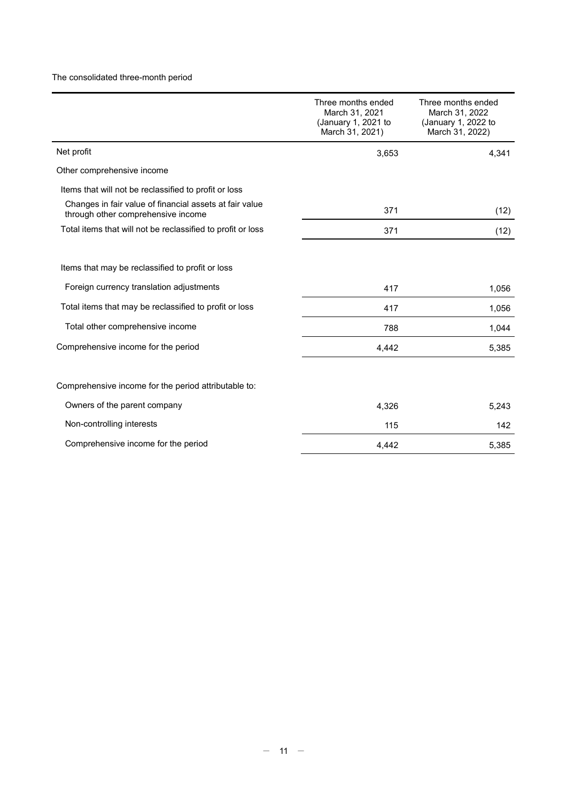# The consolidated three-month period

|                                                                                               | Three months ended<br>March 31, 2021<br>(January 1, 2021 to<br>March 31, 2021) | Three months ended<br>March 31, 2022<br>(January 1, 2022 to<br>March 31, 2022) |
|-----------------------------------------------------------------------------------------------|--------------------------------------------------------------------------------|--------------------------------------------------------------------------------|
| Net profit                                                                                    | 3,653                                                                          | 4,341                                                                          |
| Other comprehensive income                                                                    |                                                                                |                                                                                |
| Items that will not be reclassified to profit or loss                                         |                                                                                |                                                                                |
| Changes in fair value of financial assets at fair value<br>through other comprehensive income | 371                                                                            | (12)                                                                           |
| Total items that will not be reclassified to profit or loss                                   | 371                                                                            | (12)                                                                           |
|                                                                                               |                                                                                |                                                                                |
| Items that may be reclassified to profit or loss                                              |                                                                                |                                                                                |
| Foreign currency translation adjustments                                                      | 417                                                                            | 1,056                                                                          |
| Total items that may be reclassified to profit or loss                                        | 417                                                                            | 1,056                                                                          |
| Total other comprehensive income                                                              | 788                                                                            | 1,044                                                                          |
| Comprehensive income for the period                                                           | 4,442                                                                          | 5,385                                                                          |
|                                                                                               |                                                                                |                                                                                |
| Comprehensive income for the period attributable to:                                          |                                                                                |                                                                                |
| Owners of the parent company                                                                  | 4,326                                                                          | 5,243                                                                          |
| Non-controlling interests                                                                     | 115                                                                            | 142                                                                            |
| Comprehensive income for the period                                                           | 4,442                                                                          | 5,385                                                                          |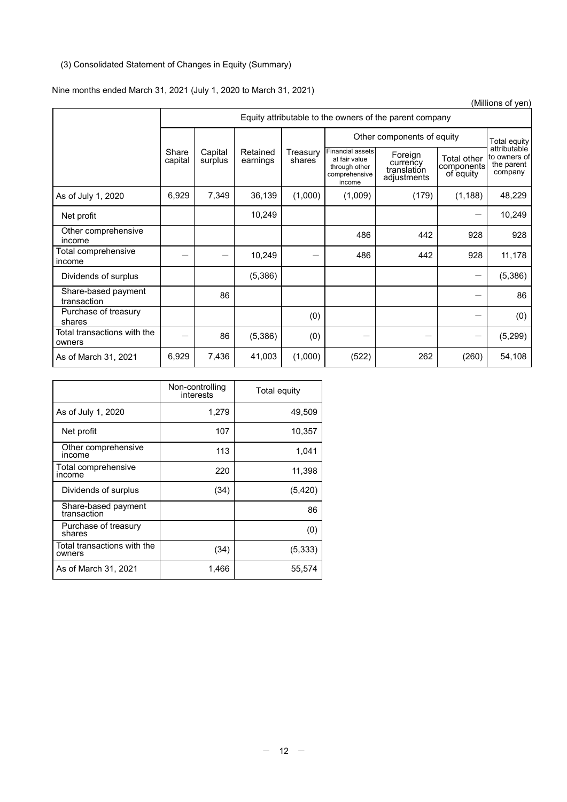# (3) Consolidated Statement of Changes in Equity (Summary)

# Nine months ended March 31, 2021 (July 1, 2020 to March 31, 2021)

|                                       |                  |                                                         |                      |                                 |                                                                                      |                                                   |                                        | (Millions of yen)                                     |
|---------------------------------------|------------------|---------------------------------------------------------|----------------------|---------------------------------|--------------------------------------------------------------------------------------|---------------------------------------------------|----------------------------------------|-------------------------------------------------------|
|                                       |                  | Equity attributable to the owners of the parent company |                      |                                 |                                                                                      |                                                   |                                        |                                                       |
|                                       |                  |                                                         |                      |                                 |                                                                                      | Other components of equity                        |                                        | Total equity                                          |
|                                       | Share<br>capital | Capital<br>surplus                                      | Retained<br>earnings | Treasury<br>shares <sup>7</sup> | <b>Financial assets</b><br>at fair value<br>through other<br>comprehensive<br>income | Foreign<br>currency<br>translation<br>adjustments | Total other<br>components<br>of equity | attributable<br>to owners of<br>the parent<br>company |
| As of July 1, 2020                    | 6,929            | 7,349                                                   | 36,139               | (1,000)                         | (1,009)                                                                              | (179)                                             | (1, 188)                               | 48,229                                                |
| Net profit                            |                  |                                                         | 10,249               |                                 |                                                                                      |                                                   | —                                      | 10,249                                                |
| Other comprehensive<br>income         |                  |                                                         |                      |                                 | 486                                                                                  | 442                                               | 928                                    | 928                                                   |
| Total comprehensive<br>income         |                  |                                                         | 10,249               |                                 | 486                                                                                  | 442                                               | 928                                    | 11,178                                                |
| Dividends of surplus                  |                  |                                                         | (5,386)              |                                 |                                                                                      |                                                   | $\hspace{0.1mm}-\hspace{0.1mm}$        | (5,386)                                               |
| Share-based payment<br>transaction    |                  | 86                                                      |                      |                                 |                                                                                      |                                                   |                                        | 86                                                    |
| Purchase of treasury<br>shares        |                  |                                                         |                      | (0)                             |                                                                                      |                                                   |                                        | (0)                                                   |
| Total transactions with the<br>owners |                  | 86                                                      | (5,386)              | (0)                             |                                                                                      |                                                   | —                                      | (5, 299)                                              |
| As of March 31, 2021                  | 6,929            | 7,436                                                   | 41,003               | (1,000)                         | (522)                                                                                | 262                                               | (260)                                  | 54,108                                                |

|                                       | Non-controlling<br>interests | Total equity |
|---------------------------------------|------------------------------|--------------|
| As of July 1, 2020                    | 1,279                        | 49,509       |
| Net profit                            | 107                          | 10,357       |
| Other comprehensive<br>income         | 113                          | 1,041        |
| Total comprehensive<br>income         | 220                          | 11,398       |
| Dividends of surplus                  | (34)                         | (5, 420)     |
| Share-based payment<br>transaction    |                              | 86           |
| Purchase of treasury<br>shares        |                              | (0)          |
| Total transactions with the<br>owners | (34)                         | (5, 333)     |
| As of March 31, 2021                  | 1,466                        | 55,574       |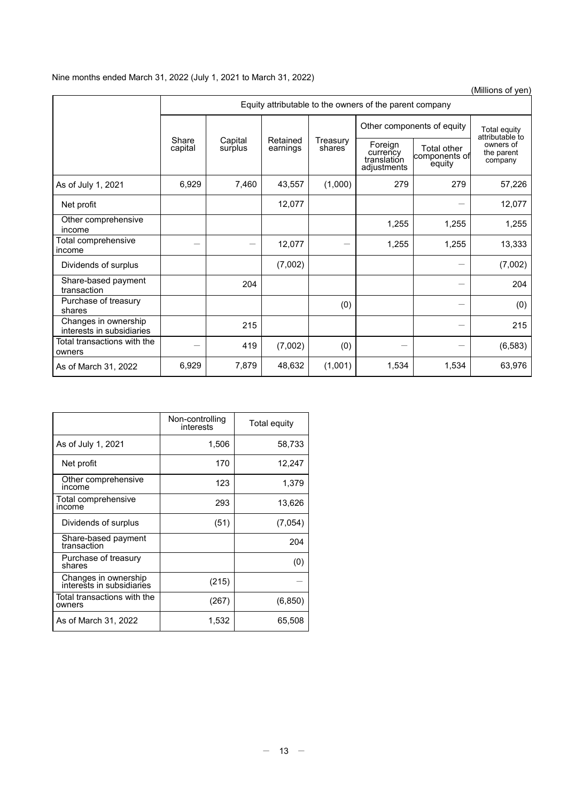# Nine months ended March 31, 2022 (July 1, 2021 to March 31, 2022)

(Millions of yen)

|                                                   | Equity attributable to the owners of the parent company        |       |                    |                                                   |                                        |                                    |          |  |  |  |
|---------------------------------------------------|----------------------------------------------------------------|-------|--------------------|---------------------------------------------------|----------------------------------------|------------------------------------|----------|--|--|--|
|                                                   |                                                                |       |                    |                                                   | Other components of equity             | Total equity<br>attributable to    |          |  |  |  |
|                                                   | Share<br>Capital<br>Retained<br>surplus<br>capital<br>earnings |       | Treasury<br>shares | Foreign<br>currency<br>translation<br>adjustments | Total other<br>components of<br>equity | owners of<br>the parent<br>company |          |  |  |  |
| As of July 1, 2021                                | 6,929                                                          | 7,460 | 43,557             | (1,000)                                           | 279                                    | 279                                | 57,226   |  |  |  |
| Net profit                                        |                                                                |       | 12,077             |                                                   |                                        |                                    | 12,077   |  |  |  |
| Other comprehensive<br>income                     |                                                                |       |                    |                                                   | 1,255                                  | 1,255                              | 1,255    |  |  |  |
| Total comprehensive<br>income                     |                                                                |       | 12,077             |                                                   | 1,255                                  | 1,255                              | 13,333   |  |  |  |
| Dividends of surplus                              |                                                                |       | (7,002)            |                                                   |                                        |                                    | (7,002)  |  |  |  |
| Share-based payment<br>transaction                |                                                                | 204   |                    |                                                   |                                        |                                    | 204      |  |  |  |
| Purchase of treasury<br>shares                    |                                                                |       |                    | (0)                                               |                                        |                                    | (0)      |  |  |  |
| Changes in ownership<br>interests in subsidiaries |                                                                | 215   |                    |                                                   |                                        |                                    | 215      |  |  |  |
| Total transactions with the<br>owners             |                                                                | 419   | (7,002)            | (0)                                               |                                        |                                    | (6, 583) |  |  |  |
| As of March 31, 2022                              | 6,929                                                          | 7,879 | 48,632             | (1,001)                                           | 1,534                                  | 1,534                              | 63,976   |  |  |  |

|                                                   | Non-controlling<br>interests | Total equity |
|---------------------------------------------------|------------------------------|--------------|
| As of July 1, 2021                                | 1,506                        | 58,733       |
| Net profit                                        | 170                          | 12,247       |
| Other comprehensive<br>income                     | 123                          | 1,379        |
| Total comprehensive<br>income                     | 293                          | 13,626       |
| Dividends of surplus                              | (51)                         | (7,054)      |
| Share-based payment<br>transaction                |                              | 204          |
| Purchase of treasury<br>shares                    |                              | (0)          |
| Changes in ownership<br>interests in subsidiaries | (215)                        |              |
| Total transactions with the<br>owners             | (267)                        | (6, 850)     |
| As of March 31, 2022                              | 1,532                        | 65,508       |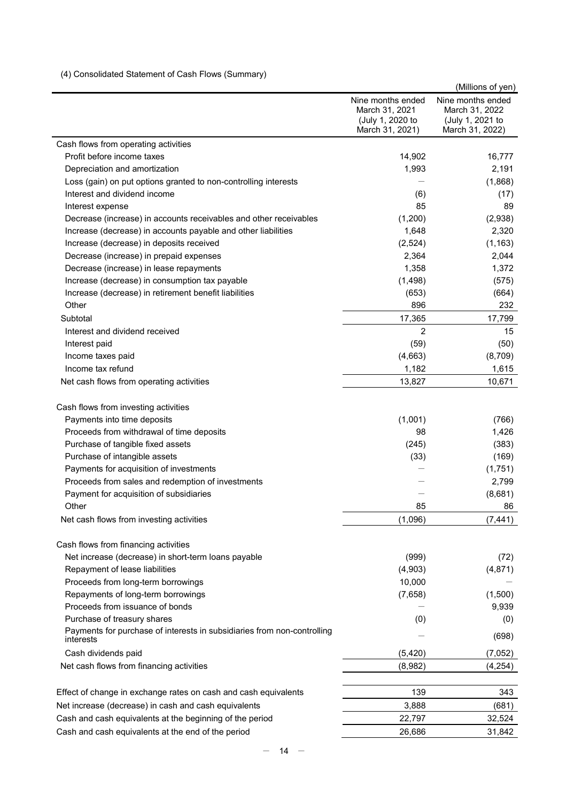# (4) Consolidated Statement of Cash Flows (Summary)

|                                                                                      |                                                                            | (Millions of yen)                                                          |
|--------------------------------------------------------------------------------------|----------------------------------------------------------------------------|----------------------------------------------------------------------------|
|                                                                                      | Nine months ended<br>March 31, 2021<br>(July 1, 2020 to<br>March 31, 2021) | Nine months ended<br>March 31, 2022<br>(July 1, 2021 to<br>March 31, 2022) |
| Cash flows from operating activities                                                 |                                                                            |                                                                            |
| Profit before income taxes                                                           | 14,902                                                                     | 16,777                                                                     |
| Depreciation and amortization                                                        | 1,993                                                                      | 2,191                                                                      |
| Loss (gain) on put options granted to non-controlling interests                      |                                                                            | (1,868)                                                                    |
| Interest and dividend income                                                         | (6)                                                                        | (17)                                                                       |
| Interest expense                                                                     | 85                                                                         | 89                                                                         |
| Decrease (increase) in accounts receivables and other receivables                    | (1,200)                                                                    | (2,938)                                                                    |
| Increase (decrease) in accounts payable and other liabilities                        | 1,648                                                                      | 2,320                                                                      |
| Increase (decrease) in deposits received                                             | (2,524)                                                                    | (1, 163)                                                                   |
| Decrease (increase) in prepaid expenses                                              | 2,364                                                                      | 2,044                                                                      |
| Decrease (increase) in lease repayments                                              | 1,358                                                                      | 1,372                                                                      |
| Increase (decrease) in consumption tax payable                                       | (1,498)                                                                    | (575)                                                                      |
| Increase (decrease) in retirement benefit liabilities                                | (653)                                                                      | (664)                                                                      |
| Other                                                                                | 896                                                                        | 232                                                                        |
| Subtotal                                                                             | 17,365                                                                     | 17,799                                                                     |
| Interest and dividend received                                                       | $\overline{c}$                                                             | 15                                                                         |
| Interest paid                                                                        | (59)                                                                       | (50)                                                                       |
| Income taxes paid                                                                    | (4,663)                                                                    | (8,709)                                                                    |
| Income tax refund                                                                    | 1,182                                                                      | 1,615                                                                      |
| Net cash flows from operating activities                                             | 13,827                                                                     | 10,671                                                                     |
| Cash flows from investing activities                                                 |                                                                            |                                                                            |
| Payments into time deposits                                                          | (1,001)                                                                    | (766)                                                                      |
| Proceeds from withdrawal of time deposits                                            | 98                                                                         | 1,426                                                                      |
| Purchase of tangible fixed assets                                                    | (245)                                                                      | (383)                                                                      |
| Purchase of intangible assets                                                        | (33)                                                                       | (169)                                                                      |
| Payments for acquisition of investments                                              |                                                                            | (1,751)                                                                    |
| Proceeds from sales and redemption of investments                                    |                                                                            | 2,799                                                                      |
| Payment for acquisition of subsidiaries                                              |                                                                            | (8,681)                                                                    |
| Other                                                                                | 85                                                                         | 86                                                                         |
| Net cash flows from investing activities                                             | (1,096)                                                                    | (7, 441)                                                                   |
| Cash flows from financing activities                                                 |                                                                            |                                                                            |
| Net increase (decrease) in short-term loans payable                                  | (999)                                                                      | (72)                                                                       |
| Repayment of lease liabilities                                                       | (4,903)                                                                    | (4, 871)                                                                   |
| Proceeds from long-term borrowings                                                   | 10,000                                                                     |                                                                            |
| Repayments of long-term borrowings                                                   | (7,658)                                                                    | (1,500)                                                                    |
| Proceeds from issuance of bonds                                                      |                                                                            | 9,939                                                                      |
| Purchase of treasury shares                                                          | (0)                                                                        | (0)                                                                        |
| Payments for purchase of interests in subsidiaries from non-controlling<br>interests |                                                                            | (698)                                                                      |
| Cash dividends paid                                                                  | (5, 420)                                                                   | (7,052)                                                                    |
| Net cash flows from financing activities                                             | (8,982)                                                                    | (4, 254)                                                                   |
| Effect of change in exchange rates on cash and cash equivalents                      | 139                                                                        | 343                                                                        |
| Net increase (decrease) in cash and cash equivalents                                 | 3,888                                                                      | (681)                                                                      |
| Cash and cash equivalents at the beginning of the period                             | 22,797                                                                     | 32,524                                                                     |
| Cash and cash equivalents at the end of the period                                   | 26,686                                                                     | 31,842                                                                     |
|                                                                                      |                                                                            |                                                                            |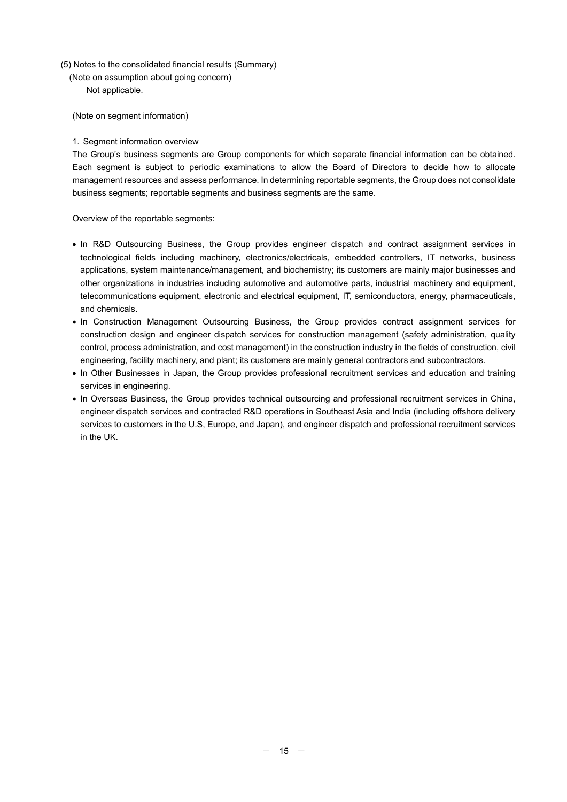- (5) Notes to the consolidated financial results (Summary)
	- (Note on assumption about going concern) Not applicable.

(Note on segment information)

### 1. Segment information overview

The Group's business segments are Group components for which separate financial information can be obtained. Each segment is subject to periodic examinations to allow the Board of Directors to decide how to allocate management resources and assess performance. In determining reportable segments, the Group does not consolidate business segments; reportable segments and business segments are the same.

Overview of the reportable segments:

- In R&D Outsourcing Business, the Group provides engineer dispatch and contract assignment services in technological fields including machinery, electronics/electricals, embedded controllers, IT networks, business applications, system maintenance/management, and biochemistry; its customers are mainly major businesses and other organizations in industries including automotive and automotive parts, industrial machinery and equipment, telecommunications equipment, electronic and electrical equipment, IT, semiconductors, energy, pharmaceuticals, and chemicals.
- In Construction Management Outsourcing Business, the Group provides contract assignment services for construction design and engineer dispatch services for construction management (safety administration, quality control, process administration, and cost management) in the construction industry in the fields of construction, civil engineering, facility machinery, and plant; its customers are mainly general contractors and subcontractors.
- In Other Businesses in Japan, the Group provides professional recruitment services and education and training services in engineering.
- In Overseas Business, the Group provides technical outsourcing and professional recruitment services in China, engineer dispatch services and contracted R&D operations in Southeast Asia and India (including offshore delivery services to customers in the U.S, Europe, and Japan), and engineer dispatch and professional recruitment services in the UK.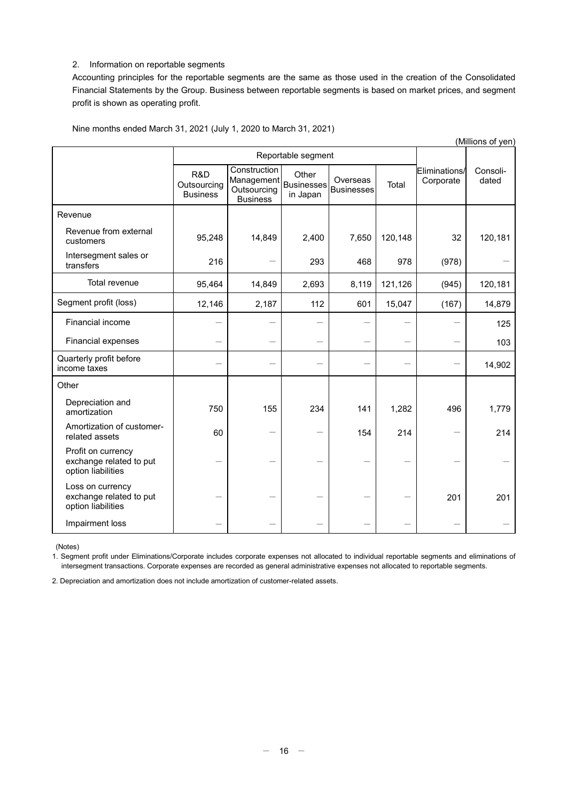## 2. Information on reportable segments

Accounting principles for the reportable segments are the same as those used in the creation of the Consolidated Financial Statements by the Group. Business between reportable segments is based on market prices, and segment profit is shown as operating profit.

| (Millions of yen)                                                   |                                       |                                                              |                                 |                               |         |                            |                   |  |
|---------------------------------------------------------------------|---------------------------------------|--------------------------------------------------------------|---------------------------------|-------------------------------|---------|----------------------------|-------------------|--|
|                                                                     |                                       |                                                              | Reportable segment              |                               |         |                            |                   |  |
|                                                                     | R&D<br>Outsourcing<br><b>Business</b> | Construction<br>Management<br>Outsourcing<br><b>Business</b> | Other<br>Businesses<br>in Japan | Overseas<br><b>Businesses</b> | Total   | Eliminations/<br>Corporate | Consoli-<br>dated |  |
| Revenue                                                             |                                       |                                                              |                                 |                               |         |                            |                   |  |
| Revenue from external<br>customers                                  | 95,248                                | 14,849                                                       | 2,400                           | 7,650                         | 120,148 | 32                         | 120,181           |  |
| Intersegment sales or<br>transfers                                  | 216                                   |                                                              | 293                             | 468                           | 978     | (978)                      |                   |  |
| Total revenue                                                       | 95,464                                | 14,849                                                       | 2,693                           | 8,119                         | 121,126 | (945)                      | 120,181           |  |
| Segment profit (loss)                                               | 12,146                                | 2,187                                                        | 112                             | 601                           | 15,047  | (167)                      | 14,879            |  |
| Financial income                                                    |                                       |                                                              |                                 |                               |         |                            | 125               |  |
| Financial expenses                                                  |                                       |                                                              |                                 |                               |         |                            | 103               |  |
| Quarterly profit before<br>income taxes                             |                                       |                                                              |                                 |                               |         |                            | 14,902            |  |
| Other                                                               |                                       |                                                              |                                 |                               |         |                            |                   |  |
| Depreciation and<br>amortization                                    | 750                                   | 155                                                          | 234                             | 141                           | 1,282   | 496                        | 1,779             |  |
| Amortization of customer-<br>related assets                         | 60                                    |                                                              |                                 | 154                           | 214     |                            | 214               |  |
| Profit on currency<br>exchange related to put<br>option liabilities |                                       |                                                              |                                 |                               |         |                            |                   |  |
| Loss on currency<br>exchange related to put<br>option liabilities   |                                       |                                                              |                                 |                               |         | 201                        | 201               |  |
| Impairment loss                                                     |                                       |                                                              |                                 |                               |         |                            |                   |  |

Nine months ended March 31, 2021 (July 1, 2020 to March 31, 2021)

(Notes)

1. Segment profit under Eliminations/Corporate includes corporate expenses not allocated to individual reportable segments and eliminations of intersegment transactions. Corporate expenses are recorded as general administrative expenses not allocated to reportable segments.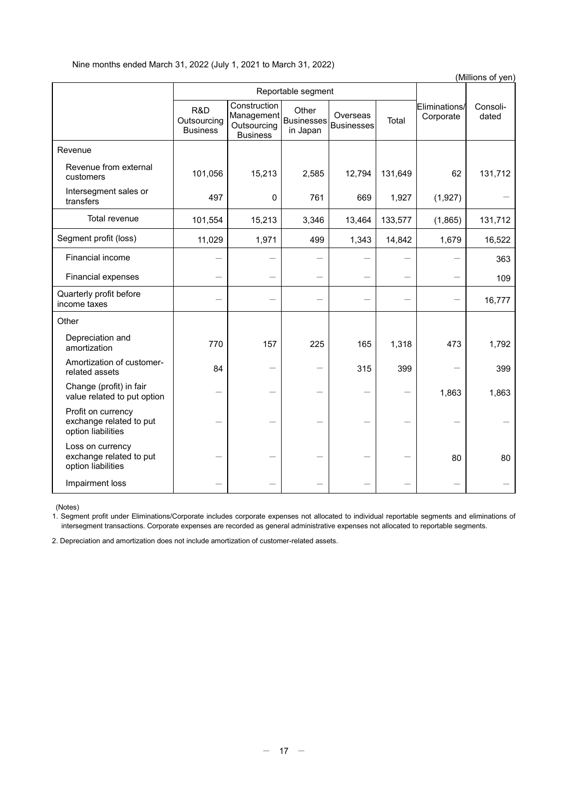| (Millions of yen)                                                   |                                       |                                                              |                                        |                               |         |                            |                   |  |
|---------------------------------------------------------------------|---------------------------------------|--------------------------------------------------------------|----------------------------------------|-------------------------------|---------|----------------------------|-------------------|--|
|                                                                     |                                       | Reportable segment                                           |                                        |                               |         |                            |                   |  |
|                                                                     | R&D<br>Outsourcing<br><b>Business</b> | Construction<br>Management<br>Outsourcing<br><b>Business</b> | Other<br><b>Businesses</b><br>in Japan | Overseas<br><b>Businesses</b> | Total   | Eliminations/<br>Corporate | Consoli-<br>dated |  |
| Revenue                                                             |                                       |                                                              |                                        |                               |         |                            |                   |  |
| Revenue from external<br>customers                                  | 101,056                               | 15,213                                                       | 2,585                                  | 12,794                        | 131,649 | 62                         | 131,712           |  |
| Intersegment sales or<br>transfers                                  | 497                                   | 0                                                            | 761                                    | 669                           | 1,927   | (1,927)                    |                   |  |
| Total revenue                                                       | 101,554                               | 15,213                                                       | 3,346                                  | 13,464                        | 133,577 | (1,865)                    | 131,712           |  |
| Segment profit (loss)                                               | 11,029                                | 1,971                                                        | 499                                    | 1,343                         | 14,842  | 1,679                      | 16,522            |  |
| Financial income                                                    |                                       |                                                              |                                        |                               |         |                            | 363               |  |
| Financial expenses                                                  |                                       |                                                              |                                        |                               |         |                            | 109               |  |
| Quarterly profit before<br>income taxes                             |                                       |                                                              |                                        |                               |         |                            | 16,777            |  |
| Other                                                               |                                       |                                                              |                                        |                               |         |                            |                   |  |
| Depreciation and<br>amortization                                    | 770                                   | 157                                                          | 225                                    | 165                           | 1,318   | 473                        | 1,792             |  |
| Amortization of customer-<br>related assets                         | 84                                    |                                                              |                                        | 315                           | 399     |                            | 399               |  |
| Change (profit) in fair<br>value related to put option              |                                       |                                                              |                                        |                               |         | 1,863                      | 1,863             |  |
| Profit on currency<br>exchange related to put<br>option liabilities |                                       |                                                              |                                        |                               |         |                            |                   |  |
| Loss on currency<br>exchange related to put<br>option liabilities   |                                       |                                                              |                                        |                               |         | 80                         | 80                |  |
| Impairment loss                                                     |                                       |                                                              |                                        |                               |         |                            |                   |  |

(Notes)

1. Segment profit under Eliminations/Corporate includes corporate expenses not allocated to individual reportable segments and eliminations of intersegment transactions. Corporate expenses are recorded as general administrative expenses not allocated to reportable segments.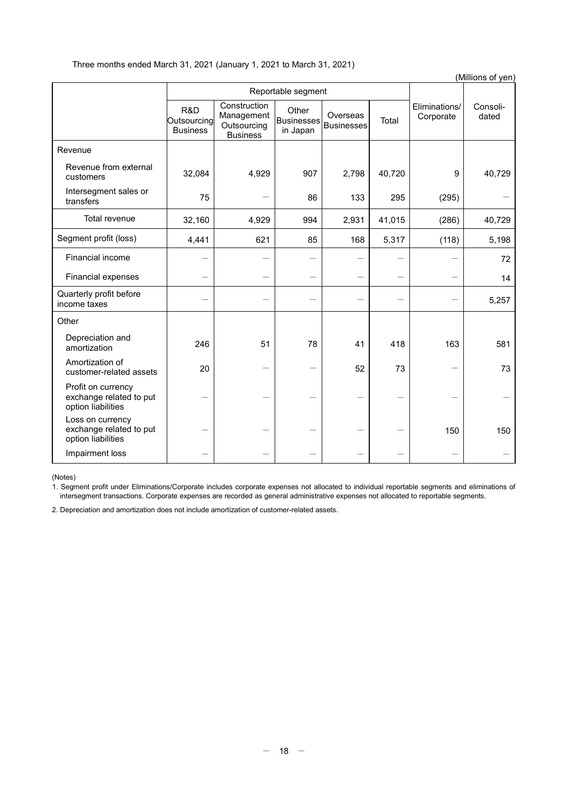|                                                                     |                                       |                                                              |                                        |                               |        |                            | (Millions of yen) |
|---------------------------------------------------------------------|---------------------------------------|--------------------------------------------------------------|----------------------------------------|-------------------------------|--------|----------------------------|-------------------|
|                                                                     |                                       |                                                              | Reportable segment                     |                               |        |                            |                   |
|                                                                     | R&D<br>Outsourcing<br><b>Business</b> | Construction<br>Management<br>Outsourcing<br><b>Business</b> | Other<br><b>Businesses</b><br>in Japan | Overseas<br><b>Businesses</b> | Total  | Eliminations/<br>Corporate | Consoli-<br>dated |
| Revenue                                                             |                                       |                                                              |                                        |                               |        |                            |                   |
| Revenue from external<br>customers                                  | 32,084                                | 4,929                                                        | 907                                    | 2,798                         | 40,720 | 9                          | 40,729            |
| Intersegment sales or<br>transfers                                  | 75                                    |                                                              | 86                                     | 133                           | 295    | (295)                      |                   |
| Total revenue                                                       | 32,160                                | 4,929                                                        | 994                                    | 2,931                         | 41,015 | (286)                      | 40,729            |
| Segment profit (loss)                                               | 4,441                                 | 621                                                          | 85                                     | 168                           | 5,317  | (118)                      | 5,198             |
| Financial income                                                    |                                       |                                                              |                                        |                               |        |                            | 72                |
| Financial expenses                                                  |                                       |                                                              |                                        |                               |        |                            | 14                |
| Quarterly profit before<br>income taxes                             |                                       |                                                              |                                        |                               |        |                            | 5,257             |
| Other                                                               |                                       |                                                              |                                        |                               |        |                            |                   |
| Depreciation and<br>amortization                                    | 246                                   | 51                                                           | 78                                     | 41                            | 418    | 163                        | 581               |
| Amortization of<br>customer-related assets                          | 20                                    |                                                              |                                        | 52                            | 73     |                            | 73                |
| Profit on currency<br>exchange related to put<br>option liabilities |                                       |                                                              |                                        |                               |        |                            |                   |
| Loss on currency<br>exchange related to put<br>option liabilities   |                                       |                                                              |                                        |                               |        | 150                        | 150               |
| Impairment loss                                                     |                                       |                                                              |                                        |                               |        |                            |                   |

(Notes)

1. Segment profit under Eliminations/Corporate includes corporate expenses not allocated to individual reportable segments and eliminations of intersegment transactions. Corporate expenses are recorded as general administrative expenses not allocated to reportable segments.